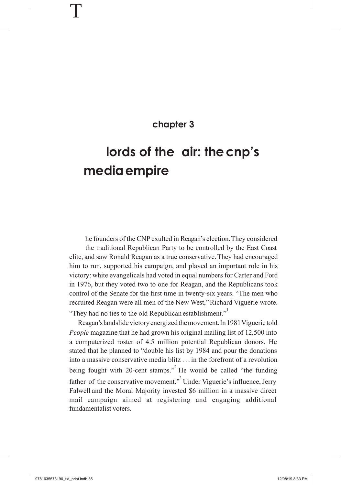### **chapter 3**

# **lords of the air: thecnp's mediaempire**

he founders of the CNP exulted in Reagan's election.They considered the traditional Republican Party to be controlled by the East Coast elite, and saw Ronald Reagan as a true conservative.They had encouraged him to run, supported his campaign, and played an important role in his victory: white evangelicals had voted in equal numbers for Carter and Ford in 1976, but they voted two to one for Reagan, and the Republicans took control of the Senate for the first time in twenty-six years. "The men who recruited Reagan were all men of the New West,"Richard Viguerie wrote.

"They had no ties to the old Republican establishment."

Reagan's landslide victory energized the movement. In 1981 Viguerie told *People* magazine that he had grown his original mailing list of 12,500 into a computerized roster of 4.5 million potential Republican donors. He stated that he planned to "double his list by 1984 and pour the donations into a massive conservative media blitz . . . in the forefront of a revolution being fought with 20-cent stamps."<sup>2</sup> He would be called "the funding father of the conservative movement."<sup>3</sup> Under Viguerie's influence, Jerry Falwell and the Moral Majority invested \$6 million in a massive direct mail campaign aimed at registering and engaging additional fundamentalist voters.

T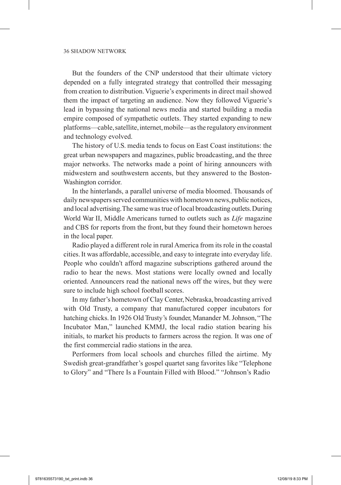But the founders of the CNP understood that their ultimate victory depended on a fully integrated strategy that controlled their messaging from creation to distribution.Viguerie's experiments in direct mail showed them the impact of targeting an audience. Now they followed Viguerie's lead in bypassing the national news media and started building a media empire composed of sympathetic outlets. They started expanding to new platforms—cable, satellite, internet, mobile—as the regulatory environment and technology evolved.

The history of U.S. media tends to focus on East Coast institutions: the great urban newspapers and magazines, public broadcasting, and the three major networks. The networks made a point of hiring announcers with midwestern and southwestern accents, but they answered to the Boston-Washington corridor.

In the hinterlands, a parallel universe of media bloomed. Thousands of daily newspapers served communities with hometown news, public notices, and local advertising. The same was true of local broadcasting outlets. During World War II, Middle Americans turned to outlets such as *Life* magazine and CBS for reports from the front, but they found their hometown heroes in the local paper.

Radio played a different role in rural America from its role in the coastal cities.It was affordable, accessible, and easy to integrate into everyday life. People who couldn't afford magazine subscriptions gathered around the radio to hear the news. Most stations were locally owned and locally oriented. Announcers read the national news off the wires, but they were sure to include high school football scores.

In my father's hometown of Clay Center,Nebraska, broadcasting arrived with Old Trusty, a company that manufactured copper incubators for hatching chicks.In 1926 Old Trusty's founder, Manander M.Johnson, "The Incubator Man," launched KMMJ, the local radio station bearing his initials, to market his products to farmers across the region. It was one of the first commercial radio stations in the area.

Performers from local schools and churches filled the airtime. My Swedish great-grandfather's gospel quartet sang favorites like "Telephone to Glory" and "There Is a Fountain Filled with Blood." "Johnson's Radio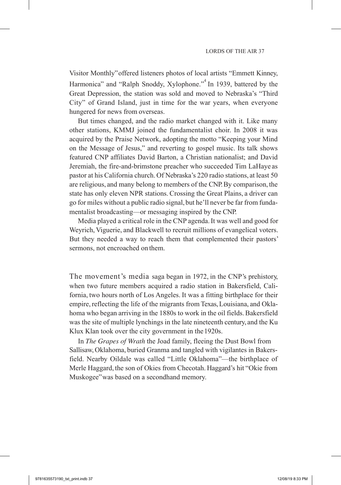Visitor Monthly"offered listeners photos of local artists "Emmett Kinney, Harmonica" and "Ralph Snoddy, Xylophone."<sup>4</sup> In 1939, battered by the Great Depression, the station was sold and moved to Nebraska's "Third City" of Grand Island, just in time for the war years, when everyone hungered for news from overseas.

But times changed, and the radio market changed with it. Like many other stations, KMMJ joined the fundamentalist choir. In 2008 it was acquired by the Praise Network, adopting the motto "Keeping your Mind on the Message of Jesus," and reverting to gospel music. Its talk shows featured CNP affiliates David Barton, a Christian nationalist; and David Jeremiah, the fire-and-brimstone preacher who succeeded Tim LaHaye as pastor at his California church. Of Nebraska's 220 radio stations, at least 50 are religious, and many belong to members of the CNP.By comparison, the state has only eleven NPR stations. Crossing the Great Plains, a driver can go for miles without a public radio signal, but he'll never be far from fundamentalist broadcasting—or messaging inspired by the CNP.

Media played a critical role in the CNP agenda.It was well and good for Weyrich, Viguerie, and Blackwell to recruit millions of evangelical voters. But they needed a way to reach them that complemented their pastors' sermons, not encroached on them.

The movement's media saga began in 1972, in the CNP's prehistory, when two future members acquired a radio station in Bakersfield, California, two hours north of Los Angeles. It was a fitting birthplace for their empire, reflecting the life of the migrants from Texas, Louisiana, and Oklahoma who began arriving in the 1880s to work in the oil fields. Bakersfield was the site of multiple lynchings in the late nineteenth century, and the Ku Klux Klan took over the city government in the 1920s.

In *The Grapes of Wrath* the Joad family, fleeing the Dust Bowl from Sallisaw,Oklahoma, buried Granma and tangled with vigilantes in Bakersfield. Nearby Oildale was called "Little Oklahoma"—the birthplace of Merle Haggard, the son of Okies from Checotah. Haggard's hit "Okie from Muskogee"was based on a secondhand memory.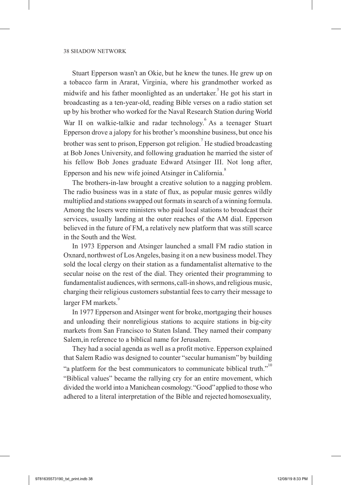Stuart Epperson wasn't an Okie, but he knew the tunes. He grew up on a tobacco farm in Ararat, Virginia, where his grandmother worked as midwife and his father moonlighted as an undertaker.<sup>5</sup> He got his start in broadcasting as a ten-year-old, reading Bible verses on a radio station set up by his brother who worked for the Naval Research Station during World War II on walkie-talkie and radar technology.<sup>6</sup> As a teenager Stuart Epperson drove a jalopy for his brother's moonshine business, but once his brother was sent to prison, Epperson got religion.<sup>7</sup> He studied broadcasting at Bob Jones University, and following graduation he married the sister of his fellow Bob Jones graduate Edward Atsinger III. Not long after, Epperson and his new wife joined Atsinger in California.<sup>8</sup>

The brothers-in-law brought a creative solution to a nagging problem. The radio business was in a state of flux, as popular music genres wildly multiplied and stations swapped out formats in search of a winning formula. Among the losers were ministers who paid local stations to broadcast their services, usually landing at the outer reaches of the AM dial. Epperson believed in the future of FM, a relatively new platform that was still scarce in the South and the West.

In 1973 Epperson and Atsinger launched a small FM radio station in Oxnard, northwest of LosAngeles, basing it on a new business model.They sold the local clergy on their station as a fundamentalist alternative to the secular noise on the rest of the dial. They oriented their programming to fundamentalist audiences, with sermons, call-in shows, and religious music, charging their religious customers substantial fees to carry their message to larger FM markets.<sup>9</sup>

In 1977 Epperson and Atsinger went for broke, mortgaging their houses and unloading their nonreligious stations to acquire stations in big-city markets from San Francisco to Staten Island. They named their company Salem,in reference to a biblical name for Jerusalem.

They had a social agenda as well as a profit motive.Epperson explained that Salem Radio was designed to counter "secular humanism" by building "a platform for the best communicators to communicate biblical truth."<sup>10</sup> "Biblical values" became the rallying cry for an entire movement, which divided the world into a Manichean cosmology."Good"applied to those who adhered to a literal interpretation of the Bible and rejected homosexuality,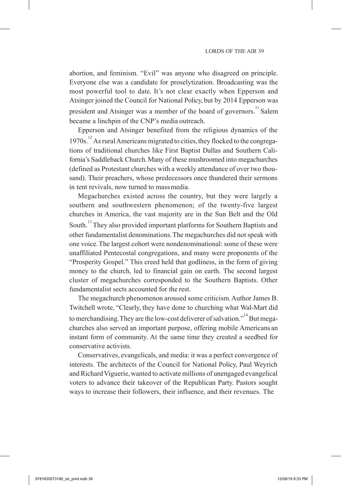abortion, and feminism. "Evil" was anyone who disagreed on principle. Everyone else was a candidate for proselytization. Broadcasting was the most powerful tool to date. It's not clear exactly when Epperson and Atsinger joined the Council for National Policy, but by 2014 Epperson was president and Atsinger was a member of the board of governors.<sup>11</sup> Salem became a linchpin of the CNP's media outreach.

Epperson and Atsinger benefited from the religious dynamics of the 1970s.<sup>12</sup> As rural Americans migrated to cities, they flocked to the congregations of traditional churches like First Baptist Dallas and Southern California's Saddleback Church.Many of these mushroomed into megachurches (defined as Protestant churches with a weekly attendance of over two thousand). Their preachers, whose predecessors once thundered their sermons in tent revivals, now turned to massmedia.

Megachurches existed across the country, but they were largely a southern and southwestern phenomenon; of the twenty-five largest churches in America, the vast majority are in the Sun Belt and the Old South.<sup>13</sup> They also provided important platforms for Southern Baptists and other fundamentalist denominations.The megachurches did not speak with one voice. The largest cohort were nondenominational: some of these were unaffiliated Pentecostal congregations, and many were proponents of the "Prosperity Gospel." This creed held that godliness, in the form of giving money to the church, led to financial gain on earth. The second largest cluster of megachurches corresponded to the Southern Baptists. Other fundamentalist sects accounted for the rest.

The megachurch phenomenon aroused some criticism.Author James B. Twitchell wrote, "Clearly, they have done to churching what Wal-Mart did to merchandising. They are the low-cost deliverer of salvation."<sup>14</sup> But megachurches also served an important purpose, offering mobile Americans an instant form of community. At the same time they created a seedbed for conservative activists.

Conservatives, evangelicals, and media: it was a perfect convergence of interests. The architects of the Council for National Policy, Paul Weyrich and Richard Viguerie, wanted to activate millions of unengaged evangelical voters to advance their takeover of the Republican Party. Pastors sought ways to increase their followers, their influence, and their revenues. The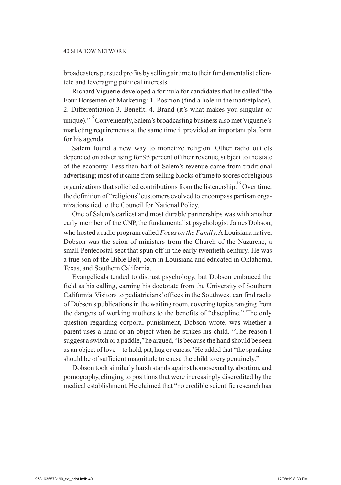broadcasters pursued profits by selling airtime to their fundamentalist clientele and leveraging political interests.

Richard Viguerie developed a formula for candidates that he called "the Four Horsemen of Marketing: 1. Position (find a hole in themarketplace). 2. Differentiation 3. Benefit. 4. Brand (it's what makes you singular or unique)."<sup>15</sup> Conveniently, Salem's broadcasting business also met Viguerie's marketing requirements at the same time it provided an important platform for his agenda.

Salem found a new way to monetize religion. Other radio outlets depended on advertising for 95 percent of their revenue, subject to the state of the economy. Less than half of Salem's revenue came from traditional advertising; most of it came from selling blocks of time to scores of religious organizations that solicited contributions from the listenership.<sup>16</sup> Over time, the definition of "religious"customers evolved to encompass partisan organizations tied to the Council for National Policy.

One of Salem's earliest and most durable partnerships was with another early member of the CNP, the fundamentalist psychologist James Dobson, who hosted a radio program called *Focus on the Family*.ALouisiana native, Dobson was the scion of ministers from the Church of the Nazarene, a small Pentecostal sect that spun off in the early twentieth century. He was a true son of the Bible Belt, born in Louisiana and educated in Oklahoma, Texas, and Southern California.

Evangelicals tended to distrust psychology, but Dobson embraced the field as his calling, earning his doctorate from the University of Southern California.Visitors to pediatricians'offices in the Southwest can find racks of Dobson's publications in the waiting room, covering topics ranging from the dangers of working mothers to the benefits of "discipline." The only question regarding corporal punishment, Dobson wrote, was whether a parent uses a hand or an object when he strikes his child. "The reason I suggest a switch or a paddle,"he argued,"is because the hand should be seen as an object of love—to hold,pat,hug or caress."He added that "the spanking should be of sufficient magnitude to cause the child to cry genuinely."

Dobson took similarly harsh stands against homosexuality, abortion, and pornography, clinging to positions that were increasingly discredited by the medical establishment.He claimed that "no credible scientific research has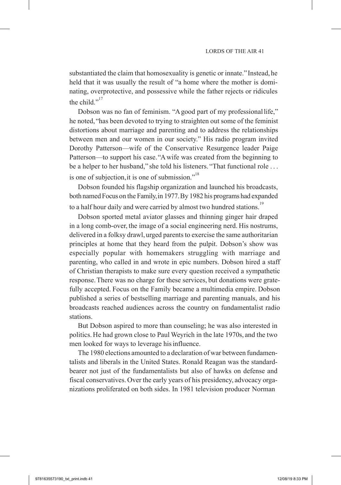substantiated the claim that homosexuality is genetic or innate."Instead, he held that it was usually the result of "a home where the mother is dominating, overprotective, and possessive while the father rejects or ridicules the child."<sup>17</sup>

Dobson was no fan of feminism. "A good part of my professional life," he noted, "has been devoted to trying to straighten out some of the feminist distortions about marriage and parenting and to address the relationships between men and our women in our society." His radio program invited Dorothy Patterson—wife of the Conservative Resurgence leader Paige Patterson—to support his case."A wife was created from the beginning to be a helper to her husband," she told his listeners. "That functional role . . . is one of subjection, it is one of submission."<sup>18</sup>

Dobson founded his flagship organization and launched his broadcasts, both named Focus on the Family, in 1977. By 1982 his programs had expanded to a half hour daily and were carried by almost two hundred stations.<sup>19</sup>

Dobson sported metal aviator glasses and thinning ginger hair draped in a long comb-over, the image of a social engineering nerd. His nostrums, delivered in a folksy drawl, urged parents to exercise the same authoritarian principles at home that they heard from the pulpit. Dobson's show was especially popular with homemakers struggling with marriage and parenting, who called in and wrote in epic numbers. Dobson hired a staff of Christian therapists to make sure every question received a sympathetic response.There was no charge for these services, but donations were gratefully accepted. Focus on the Family became a multimedia empire. Dobson published a series of bestselling marriage and parenting manuals, and his broadcasts reached audiences across the country on fundamentalist radio stations.

But Dobson aspired to more than counseling; he was also interested in politics. He had grown close to Paul Weyrich in the late 1970s, and the two men looked for ways to leverage hisinfluence.

The 1980 elections amounted to a declaration of war between fundamentalists and liberals in the United States. Ronald Reagan was the standardbearer not just of the fundamentalists but also of hawks on defense and fiscal conservatives. Over the early years of his presidency, advocacy organizations proliferated on both sides. In 1981 television producer Norman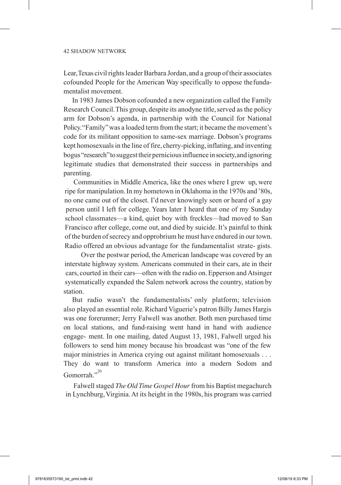Lear, Texas civil rights leader Barbara Jordan, and a group of their associates cofounded People for the American Way specifically to oppose thefundamentalist movement.

In 1983 James Dobson cofounded a new organization called the Family Research Council. This group, despite its anodyne title, served as the policy arm for Dobson's agenda, in partnership with the Council for National Policy."Family"was a loaded term from the start; it became the movement's code for its militant opposition to same-sex marriage. Dobson's programs kept homosexuals in the line of fire, cherry-picking, inflating, and inventing bogus "research" to suggest their pernicious influence in society, and ignoring legitimate studies that demonstrated their success in partnerships and parenting.

Communities in Middle America, like the ones where I grew up, were ripe for manipulation.In my hometown in Oklahoma in the 1970s and'80s, no one came out of the closet. I'd never knowingly seen or heard of a gay person until I left for college. Years later I heard that one of my Sunday school classmates—a kind, quiet boy with freckles—had moved to San Francisco after college, come out, and died by suicide. It's painful to think of the burden of secrecy and opprobrium he must have endured in our town. Radio offered an obvious advantage for the fundamentalist strate- gists.

Over the postwar period, the American landscape was covered by an interstate highway system. Americans commuted in their cars, ate in their cars, courted in their cars—often with the radio on.Epperson and Atsinger systematically expanded the Salem network across the country, station by station.

But radio wasn't the fundamentalists' only platform; television also played an essential role.Richard Viguerie's patron Billy James Hargis was one forerunner; Jerry Falwell was another. Both men purchased time on local stations, and fund-raising went hand in hand with audience engage- ment. In one mailing, dated August 13, 1981, Falwell urged his followers to send him money because his broadcast was "one of the few major ministries in America crying out against militant homosexuals . . . They do want to transform America into a modern Sodom and Gomorrah."<sup>20</sup>

Falwellstaged *The Old Time Gospel Hour*from his Baptist megachurch in Lynchburg,Virginia.At its height in the 1980s, his program was carried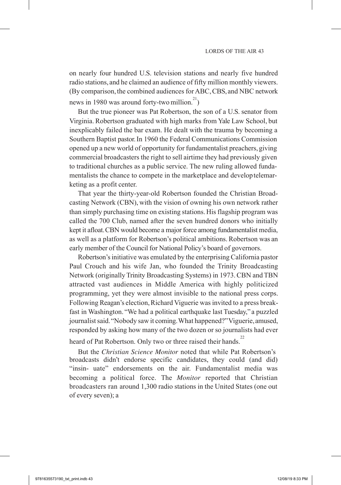on nearly four hundred U.S. television stations and nearly five hundred radio stations, and he claimed an audience of fifty million monthly viewers. (By comparison, the combined audiences for ABC, CBS, and NBC network news in 1980 was around forty-two million.<sup>21</sup>)

But the true pioneer was Pat Robertson, the son of a U.S. senator from Virginia. Robertson graduated with high marks from Yale Law School, but inexplicably failed the bar exam. He dealt with the trauma by becoming a Southern Baptist pastor.In 1960 the Federal Communications Commission opened up a new world of opportunity for fundamentalist preachers, giving commercial broadcasters the right to sell airtime they had previously given to traditional churches as a public service. The new ruling allowed fundamentalists the chance to compete in the marketplace and developtelemarketing as a profit center.

That year the thirty-year-old Robertson founded the Christian Broadcasting Network (CBN), with the vision of owning his own network rather than simply purchasing time on existing stations.His flagship program was called the 700 Club, named after the seven hundred donors who initially kept it afloat.CBN would become a major force among fundamentalist media, as well as a platform for Robertson's political ambitions. Robertson was an early member of the Council for National Policy's board of governors.

Robertson's initiative was emulated by the enterprising California pastor Paul Crouch and his wife Jan, who founded the Trinity Broadcasting Network (originally Trinity Broadcasting Systems) in 1973.CBN and TBN attracted vast audiences in Middle America with highly politicized programming, yet they were almost invisible to the national press corps. Following Reagan's election, Richard Viguerie was invited to a press breakfast in Washington. "We had a political earthquake last Tuesday," a puzzled journalistsaid."Nobody saw it coming.What happened?"Viguerie, amused, responded by asking how many of the two dozen or so journalists had ever

## heard of Pat Robertson. Only two or three raised their hands.<sup>22</sup>

But the *Christian Science Monitor* noted that while Pat Robertson's broadcasts didn't endorse specific candidates, they could (and did) "insin- uate" endorsements on the air. Fundamentalist media was becoming a political force. The *Monitor* reported that Christian broadcasters ran around 1,300 radio stations in the United States (one out of every seven); a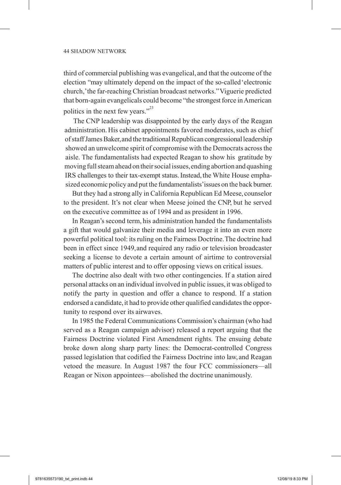third of commercial publishing was evangelical, and that the outcome of the election "may ultimately depend on the impact of the so-called'electronic church,'the far-reaching Christian broadcast networks."Viguerie predicted that born-again evangelicals could become "the strongest force in American politics in the next few years."<sup>23</sup>

The CNP leadership was disappointed by the early days of the Reagan administration. His cabinet appointments favored moderates, such as chief of staff James Baker, and the traditional Republican congressional leadership showed an unwelcome spirit of compromise with the Democrats across the aisle. The fundamentalists had expected Reagan to show his gratitude by moving full steam ahead on their social issues, ending abortion and quashing IRS challenges to their tax-exempt status. Instead, the White House emphasized economic policy and put the fundamentalists'issues on the back burner.

But they had a strong ally in California Republican Ed Meese, counselor to the president. It's not clear when Meese joined the CNP, but he served on the executive committee as of 1994 and as president in 1996.

In Reagan's second term, his administration handed the fundamentalists a gift that would galvanize their media and leverage it into an even more powerful political tool: itsruling on the Fairness Doctrine.The doctrine had been in effect since 1949,and required any radio or television broadcaster seeking a license to devote a certain amount of airtime to controversial matters of public interest and to offer opposing views on critical issues.

The doctrine also dealt with two other contingencies. If a station aired personal attacks on an individual involved in public issues,it was obliged to notify the party in question and offer a chance to respond. If a station endorsed a candidate, it had to provide other qualified candidates the opportunity to respond over its airwaves.

In 1985 the Federal Communications Commission's chairman (who had served as a Reagan campaign advisor) released a report arguing that the Fairness Doctrine violated First Amendment rights. The ensuing debate broke down along sharp party lines: the Democrat-controlled Congress passed legislation that codified the Fairness Doctrine into law, and Reagan vetoed the measure. In August 1987 the four FCC commissioners—all Reagan or Nixon appointees—abolished the doctrine unanimously.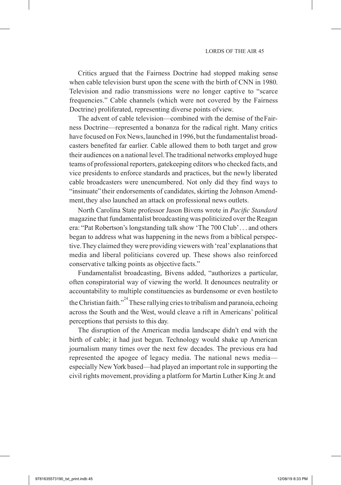Critics argued that the Fairness Doctrine had stopped making sense when cable television burst upon the scene with the birth of CNN in 1980. Television and radio transmissions were no longer captive to "scarce frequencies." Cable channels (which were not covered by the Fairness Doctrine) proliferated, representing diverse points ofview.

The advent of cable television—combined with the demise of theFairness Doctrine—represented a bonanza for the radical right. Many critics have focused on Fox News, launched in 1996, but the fundamentalist broadcasters benefited far earlier. Cable allowed them to both target and grow their audiences on a national level.The traditional networks employed huge teams of professional reporters, gatekeeping editors who checked facts, and vice presidents to enforce standards and practices, but the newly liberated cable broadcasters were unencumbered. Not only did they find ways to "insinuate" their endorsements of candidates, skirting the Johnson Amendment, they also launched an attack on professional news outlets.

North Carolina State professor Jason Bivens wrote in *Pacific Standard* magazine that fundamentalist broadcasting was politicized over the Reagan era: "Pat Robertson's longstanding talk show 'The 700 Club'. . . and others began to address what was happening in the news from a biblical perspective.They claimed they were providing viewers with 'real'explanationsthat media and liberal politicians covered up. These shows also reinforced conservative talking points as objective facts."

Fundamentalist broadcasting, Bivens added, "authorizes a particular, often conspiratorial way of viewing the world. It denounces neutrality or accountability to multiple constituencies as burdensome or even hostileto the Christian faith."<sup>24</sup> These rallying cries to tribalism and paranoia, echoing across the South and the West, would cleave a rift in Americans' political perceptions that persists to this day.

The disruption of the American media landscape didn't end with the birth of cable; it had just begun. Technology would shake up American journalism many times over the next few decades. The previous era had represented the apogee of legacy media. The national news media especially NewYork based—had played an important role in supporting the civil rights movement, providing a platform for Martin Luther King Jr. and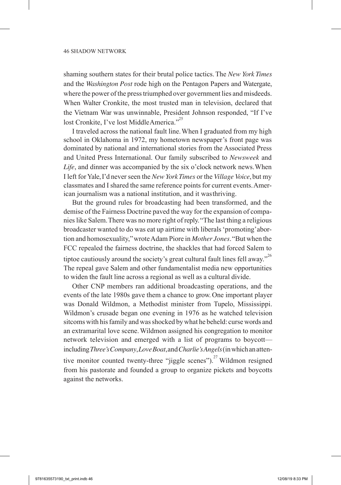shaming southern states for their brutal police tactics.The *New York Times*  and the *Washington Post* rode high on the Pentagon Papers and Watergate, where the power of the press triumphed over government lies and misdeeds. When Walter Cronkite, the most trusted man in television, declared that the Vietnam War was unwinnable, President Johnson responded, "If I've lost Cronkite, I've lost MiddleAmerica."<sup>25</sup>

I traveled across the national fault line.When I graduated from my high school in Oklahoma in 1972, my hometown newspaper's front page was dominated by national and international stories from the Associated Press and United Press International. Our family subscribed to *Newsweek* and *Life*, and dinner was accompanied by the six o'clock network news.When I left for Yale,I'd never seen the *New YorkTimes* or the *Village Voice*,but my classmates and I shared the same reference points for current events. American journalism was a national institution, and it wasthriving.

But the ground rules for broadcasting had been transformed, and the demise of the Fairness Doctrine paved the way for the expansion of companieslike Salem.There was no more right of reply."The last thing a religious broadcaster wanted to do was eat up airtime with liberals'promoting'abortion and homosexuality,"wroteAdam Piore in *Mother Jones*."But when the FCC repealed the fairness doctrine, the shackles that had forced Salem to tiptoe cautiously around the society's great cultural fault lines fell away."<sup>26</sup> The repeal gave Salem and other fundamentalist media new opportunities to widen the fault line across a regional as well as a cultural divide.

Other CNP members ran additional broadcasting operations, and the events of the late 1980s gave them a chance to grow. One important player was Donald Wildmon, a Methodist minister from Tupelo, Mississippi. Wildmon's crusade began one evening in 1976 as he watched television sitcoms with his family and was shocked by what he beheld: curse words and an extramarital love scene.Wildmon assigned his congregation to monitor network television and emerged with a list of programs to boycott including*Three'sCompany*,*LoveBoat*,and*Charlie'sAngels*(inwhichanatten-

tive monitor counted twenty-three "jiggle scenes").<sup>27</sup> Wildmon resigned from his pastorate and founded a group to organize pickets and boycotts against the networks.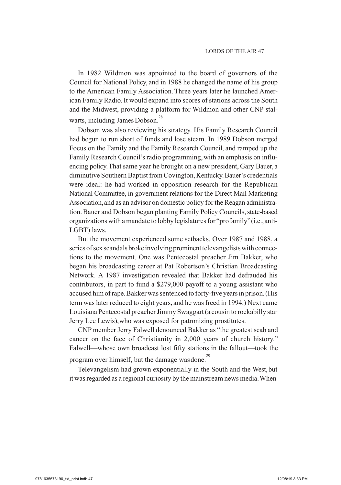In 1982 Wildmon was appointed to the board of governors of the Council for National Policy, and in 1988 he changed the name of his group to the American Family Association.Three years later he launched American Family Radio.It would expand into scores of stations across the South and the Midwest, providing a platform for Wildmon and other CNP stalwarts, including James Dobson.<sup>28</sup>

Dobson was also reviewing his strategy. His Family Research Council had begun to run short of funds and lose steam. In 1989 Dobson merged Focus on the Family and the Family Research Council, and ramped up the Family Research Council's radio programming, with an emphasis on influencing policy.That same year he brought on a new president, Gary Bauer, a diminutive Southern Baptist from Covington, Kentucky. Bauer's credentials were ideal: he had worked in opposition research for the Republican National Committee, in government relations for the Direct Mail Marketing Association,and as an advisor on domestic policy for the Reagan administration. Bauer and Dobson began planting Family Policy Councils, state-based organizations with a mandate to lobby legislatures for "profamily" (i.e., anti-LGBT) laws.

But the movement experienced some setbacks. Over 1987 and 1988, a series of sex scandals broke involving prominent televangelists with connections to the movement. One was Pentecostal preacher Jim Bakker, who began his broadcasting career at Pat Robertson's Christian Broadcasting Network. A 1987 investigation revealed that Bakker had defrauded his contributors, in part to fund a \$279,000 payoff to a young assistant who accused him of rape. Bakker was sentenced to forty-five years in prison. (His term waslater reduced to eight years, and he wasfreed in 1994.) Next came Louisiana Pentecostal preacher Jimmy Swaggart (a cousin to rockabilly star Jerry Lee Lewis),who was exposed for patronizing prostitutes.

CNP member Jerry Falwell denounced Bakker as "the greatest scab and cancer on the face of Christianity in 2,000 years of church history." Falwell—whose own broadcast lost fifty stations in the fallout—took the program over himself, but the damage was done.<sup>29</sup>

Televangelism had grown exponentially in the South and the West,but it was regarded as a regional curiosity by the mainstream news media. When